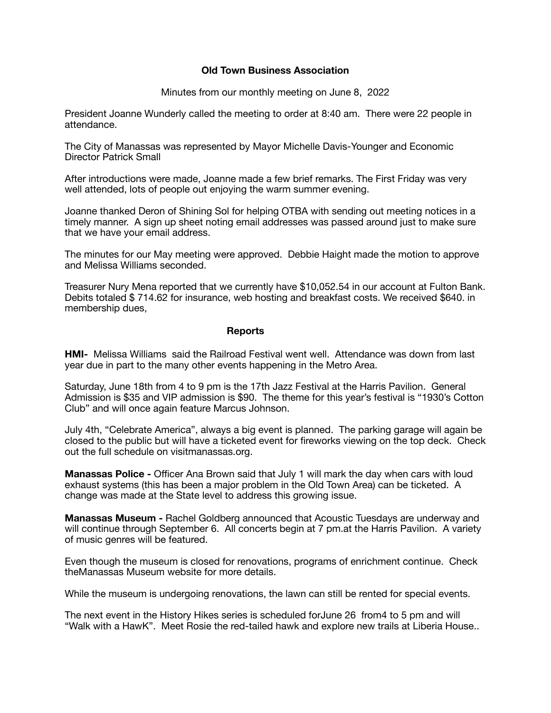## **Old Town Business Association**

Minutes from our monthly meeting on June 8, 2022

President Joanne Wunderly called the meeting to order at 8:40 am. There were 22 people in attendance.

The City of Manassas was represented by Mayor Michelle Davis-Younger and Economic Director Patrick Small

After introductions were made, Joanne made a few brief remarks. The First Friday was very well attended, lots of people out enjoying the warm summer evening.

Joanne thanked Deron of Shining Sol for helping OTBA with sending out meeting notices in a timely manner. A sign up sheet noting email addresses was passed around just to make sure that we have your email address.

The minutes for our May meeting were approved. Debbie Haight made the motion to approve and Melissa Williams seconded.

Treasurer Nury Mena reported that we currently have \$10,052.54 in our account at Fulton Bank. Debits totaled \$ 714.62 for insurance, web hosting and breakfast costs. We received \$640. in membership dues,

## **Reports**

**HMI-** Melissa Williams said the Railroad Festival went well. Attendance was down from last year due in part to the many other events happening in the Metro Area.

Saturday, June 18th from 4 to 9 pm is the 17th Jazz Festival at the Harris Pavilion. General Admission is \$35 and VIP admission is \$90. The theme for this year's festival is "1930's Cotton Club" and will once again feature Marcus Johnson.

July 4th, "Celebrate America", always a big event is planned. The parking garage will again be closed to the public but will have a ticketed event for fireworks viewing on the top deck. Check out the full schedule on visitmanassas.org.

**Manassas Police -** Officer Ana Brown said that July 1 will mark the day when cars with loud exhaust systems (this has been a major problem in the Old Town Area) can be ticketed. A change was made at the State level to address this growing issue.

**Manassas Museum -** Rachel Goldberg announced that Acoustic Tuesdays are underway and will continue through September 6. All concerts begin at 7 pm.at the Harris Pavilion. A variety of music genres will be featured.

Even though the museum is closed for renovations, programs of enrichment continue. Check theManassas Museum website for more details.

While the museum is undergoing renovations, the lawn can still be rented for special events.

The next event in the History Hikes series is scheduled forJune 26 from4 to 5 pm and will "Walk with a HawK". Meet Rosie the red-tailed hawk and explore new trails at Liberia House..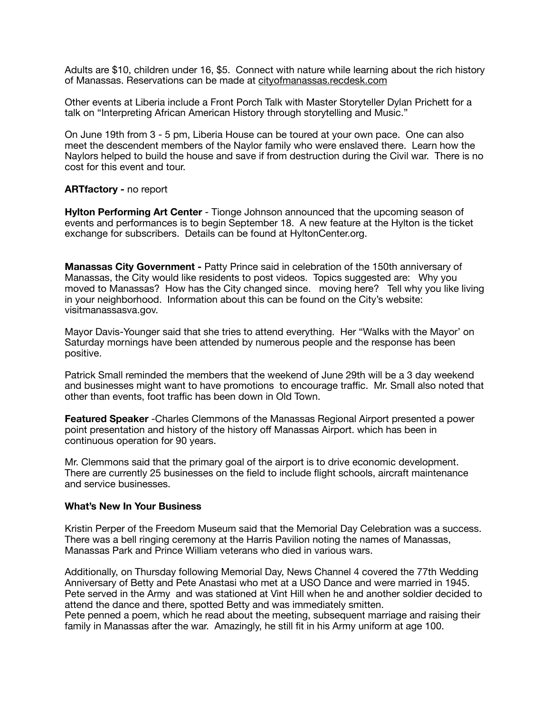Adults are \$10, children under 16, \$5. Connect with nature while learning about the rich history of Manassas. Reservations can be made at [cityofmanassas.recdesk.com](http://cityofmanassas.recdesk.com)

Other events at Liberia include a Front Porch Talk with Master Storyteller Dylan Prichett for a talk on "Interpreting African American History through storytelling and Music."

On June 19th from 3 - 5 pm, Liberia House can be toured at your own pace. One can also meet the descendent members of the Naylor family who were enslaved there. Learn how the Naylors helped to build the house and save if from destruction during the Civil war. There is no cost for this event and tour.

## **ARTfactory -** no report

**Hylton Performing Art Center** - Tionge Johnson announced that the upcoming season of events and performances is to begin September 18. A new feature at the Hylton is the ticket exchange for subscribers. Details can be found at HyltonCenter.org.

**Manassas City Government -** Patty Prince said in celebration of the 150th anniversary of Manassas, the City would like residents to post videos. Topics suggested are: Why you moved to Manassas? How has the City changed since. moving here? Tell why you like living in your neighborhood. Information about this can be found on the City's website: visitmanassasva.gov.

Mayor Davis-Younger said that she tries to attend everything. Her "Walks with the Mayor' on Saturday mornings have been attended by numerous people and the response has been positive.

Patrick Small reminded the members that the weekend of June 29th will be a 3 day weekend and businesses might want to have promotions to encourage traffic. Mr. Small also noted that other than events, foot traffic has been down in Old Town.

**Featured Speaker** -Charles Clemmons of the Manassas Regional Airport presented a power point presentation and history of the history off Manassas Airport. which has been in continuous operation for 90 years.

Mr. Clemmons said that the primary goal of the airport is to drive economic development. There are currently 25 businesses on the field to include flight schools, aircraft maintenance and service businesses.

## **What's New In Your Business**

Kristin Perper of the Freedom Museum said that the Memorial Day Celebration was a success. There was a bell ringing ceremony at the Harris Pavilion noting the names of Manassas, Manassas Park and Prince William veterans who died in various wars.

Additionally, on Thursday following Memorial Day, News Channel 4 covered the 77th Wedding Anniversary of Betty and Pete Anastasi who met at a USO Dance and were married in 1945. Pete served in the Army and was stationed at Vint Hill when he and another soldier decided to attend the dance and there, spotted Betty and was immediately smitten.

Pete penned a poem, which he read about the meeting, subsequent marriage and raising their family in Manassas after the war. Amazingly, he still fit in his Army uniform at age 100.